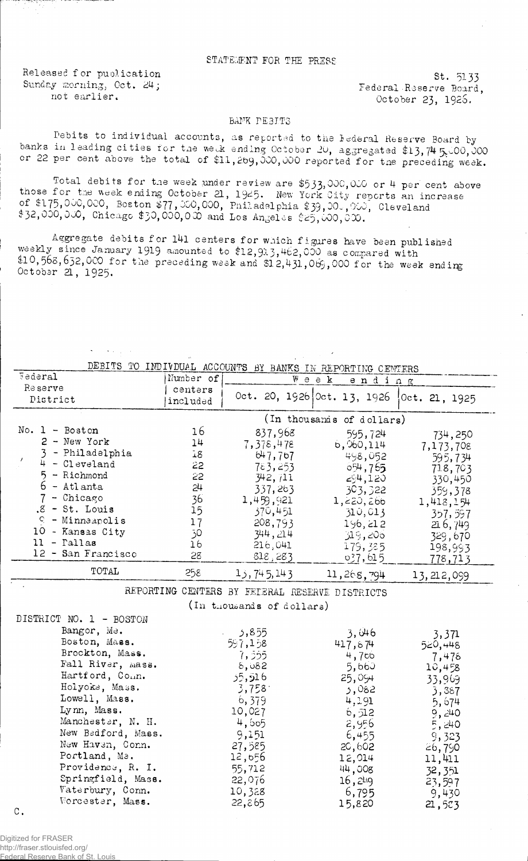## STATEMENT FOR THE PRESS

Released for puolication Sunday morning, Oct. 24; not earlier.

 $\mathbf{s} = \left( \mathbf{r} \right) \mathbf{r}$  ,  $\left( \mathbf{r} \right)$ 

St. 5133 Federal Reserve Board, October 23, 1926.

## BANK PEBITS

Debits to individual accounts, as reported to the lederal Reserve Board by banks in leading cities for the we $A$  ending October 20, aggregated \$13,74  $5,00,000$ or 22 per cent above the total of \$11, 2b9, 000, 000 reported for the preceding week.

Total debits for the week under review are \$533,000,000 or 4 per cent above those f or the week ending October 21, 1949. New York City reports an increase of  $\mathfrak{so}_{1}$  or  $\mathfrak{so}_{2}$ ,  $\mathfrak{so}_{2}$  ,  $\mathfrak{so}_{2}$  ,  $\mathfrak{so}_{2}$  ,  $\mathfrak{so}_{2}$  ,  $\mathfrak{so}_{2}$  ,  $\mathfrak{so}_{2}$  ,  $\mathfrak{so}_{2}$  ,  $\mathfrak{so}_{2}$  ,  $\mathfrak{so}_{2}$  ,  $\mathfrak{so}_{2}$  ,  $\mathfrak{so}_{2}$  ,  $\mathfrak{so}_{2}$  ,  $\mathfrak{so}_{2}$  ,  $\mathfrak{so}_{$  $\overline{\text{32,000}}$ ,  $\overline{\text{000}}$ , Chicago \$30,000,000 and Los Angeles \$25,000,000.

Aggregate debits for 141 centers for which figures have been published weekly since January 1919 amounted to \$12, 913, 462,000 as compared with  $$10,568,652,000$  for the preceding week and  $$12,431,069,000$  for the week ending October 21, 1925.

| DEBITS TO<br>INDIVIDAL ACCOUNTS BY BANKS IN REPORTING CENTERS |                           |              |                                |               |
|---------------------------------------------------------------|---------------------------|--------------|--------------------------------|---------------|
| Federal                                                       | Number of                 |              | $W$ e e $\mathbf{k}$<br>ending |               |
| <b>Reserve</b><br>District                                    | centers<br>included       |              | Oct. 20, 1926 Oct. 13, 1926    | 0ct. 21, 1925 |
|                                                               | (In thousands of dollars) |              |                                |               |
| $No. 1 - Boston$                                              | 16                        | 837,968      | 595,724                        | 734,250       |
| $2 - New York$                                                | 14                        | 7,378,478    | 6,960,114                      | 7,173,708     |
| - Philadelphia                                                | 18                        | 647,767      | 498,052                        | 595,734       |
| $4 -$ Cleveland                                               | 22                        | 783,253      | 654,765                        | 718,703       |
| $5 -$ Richmond                                                | 22                        | 342,711      | 294,120                        | 330,450       |
| 6 - Atlanta                                                   | 24                        | 337,263      | 303,322                        | 359,378       |
| - Chicago                                                     | 36                        | 1,459,921    | 1,220,266                      | 1,418,154     |
| $.8 - St.$ Louis                                              | 15                        | 370,451      | 310,013                        | 357,597       |
| $C - Minmapolis$                                              | 17                        | 208,793      | 196, 212                       | 216,749       |
| 10 - Kansas City                                              | 0ز                        | 344,214      | 319,206                        | 329,670       |
| ll - Pallas                                                   | 16                        | 216,041      | 179,385                        | 198,993       |
| 12 - San Francisco                                            | 28                        | 818,283      | 037,615                        | 778,713       |
| TOTAL                                                         | 258                       | 13, 745, 143 | 11,268,794                     | 13, 212, 099  |

REPORTING CENTERS BY FELERAL RESERVE DISTRICTS (In thousands of dollars)

| 555, د   |                                                                 | 3,371                                                                                                                                                 |
|----------|-----------------------------------------------------------------|-------------------------------------------------------------------------------------------------------------------------------------------------------|
| 597,158  |                                                                 | 520,448                                                                                                                                               |
|          |                                                                 | 7,478                                                                                                                                                 |
| ზ, ს82   |                                                                 | 10,458                                                                                                                                                |
| 5,516 كۇ |                                                                 | 33,969                                                                                                                                                |
| 3,758    |                                                                 | 3,387                                                                                                                                                 |
| 6,379    |                                                                 | 5,674                                                                                                                                                 |
| 10,027   |                                                                 | 9,240                                                                                                                                                 |
|          |                                                                 | 5,240                                                                                                                                                 |
|          |                                                                 | 9,323                                                                                                                                                 |
|          |                                                                 | 26,790                                                                                                                                                |
|          |                                                                 | 11,411                                                                                                                                                |
|          |                                                                 | 32,351                                                                                                                                                |
| 22,076   |                                                                 | 23,597                                                                                                                                                |
|          |                                                                 | 9,430                                                                                                                                                 |
| 22,865   | 15,820                                                          | 21,523                                                                                                                                                |
|          | 7,555<br>4,505<br>9,151<br>27,585<br>12,656<br>55,712<br>10,328 | 3,046<br>417,874<br>4,700<br>5,660<br>25,094<br>3,082<br>4,191<br>6,712<br>2,956<br>6,455<br>20,602<br>12,014<br>44,008<br>16,2 <sup>4</sup><br>6,795 |

 $\mathbf C$  .

Digitized for FRASER http://fraser.stlouisfed.org/ al Peser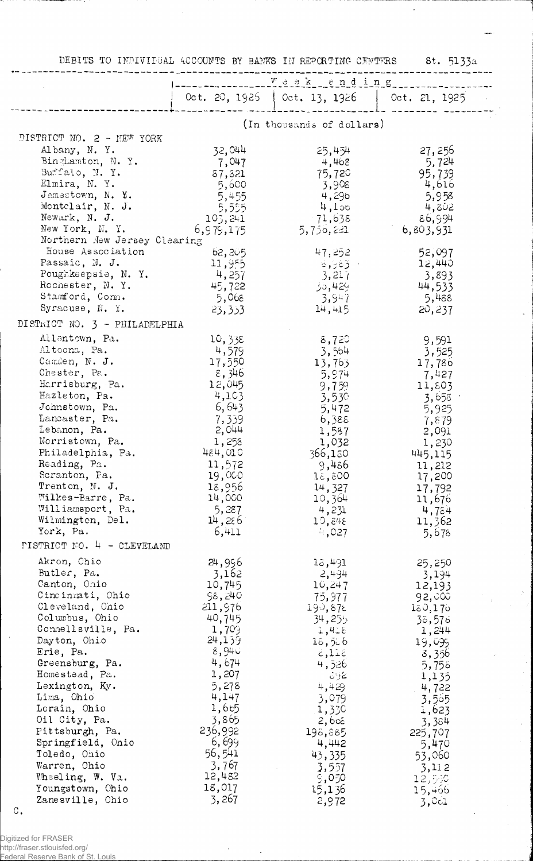DEBITS TO INDIVIDUAL ACCOUNTS BY BANKS IN REPORTING CENTERS 8t. 5133a

|                                                | <u>. Weekending</u>           |                               |                        |  |
|------------------------------------------------|-------------------------------|-------------------------------|------------------------|--|
|                                                |                               | Oct. 20, 1925   Oct. 13, 1926 | $\sqrt{$ Oct. 21, 1925 |  |
|                                                |                               |                               |                        |  |
|                                                |                               | (In thousands of dollars)     |                        |  |
| DISTRICT NO. 2 - NEW YORK                      |                               |                               |                        |  |
| Albany, N.Y.<br>Binghamton, N.Y.               | 32,044                        | 25,454                        | 27,256<br>5,724        |  |
| Buffalo, N.Y.                                  | 7,047<br>37,321               | 4,468<br>75,720               | 95,739                 |  |
| Elmira, N.Y.                                   | 5,600                         | 3,908                         | 4,616                  |  |
| Jamestown, N. Y.                               | 5,455                         | 4,296                         | 5,958                  |  |
| Montelair, N. J.                               | 5,555                         | $4,1$ ob                      | 4,802                  |  |
| Newark, N. J.                                  | 107,241                       | 71,638                        | 86,994                 |  |
| New York, N.Y.<br>Northern New Jersey Clearing | 6, 979, 175                   | 5,750,221                     | 6,803,931              |  |
| House Association                              | 62,205                        | 47,252                        | 52,097                 |  |
| Passaic, N. J.                                 | 11,955                        | ಿಕೆ,983 -                     | 12,440                 |  |
| Poughkeepsie, N. Y.                            | 4,257                         | 3,217                         | 3,893                  |  |
| Rochester, N.Y.                                | 45,722                        | 95,429                        | 44,533                 |  |
| Stamford, Com.                                 | 5,068                         | -3,947                        | 5,488                  |  |
| Syracuse, N. Y.                                | 23,333                        | 14,415                        | 20,237                 |  |
| DISTRICT NO. 3 - PHILADELPHIA                  |                               |                               |                        |  |
| Allentown, Pa.                                 | 10,338                        | 8,720                         | 9,591                  |  |
| Altoona, Pa.                                   | 4,579                         | 3,564                         | 3,525                  |  |
| Camden, N. J.<br>Chester, Pa.                  | 17,550<br>$\varepsilon$ , 346 | 13,763                        | 17,780                 |  |
| Harrisburg, Pa.                                | 12,045                        | 5,974<br>9,75%                | 7,427<br>11,803        |  |
| Hazleton, Pa.                                  | 4,103                         | 3,530                         | 3,658                  |  |
| Johnstown, Pa.                                 | 6,643                         | 5,472                         | 5,925                  |  |
| Lancaster, Pa.                                 | 7,339                         | 6,388                         | 7,879                  |  |
| Lebanon, Pa.                                   | 2,044                         | 1,587                         | 2,091                  |  |
| Norristown, Pa.<br>Philadelphia, Pa.           | 1,258<br>484,010              | 1,032                         | 1,230                  |  |
| Reading, Pa.                                   | 11,572                        | 366,180<br>9,486              | 445,115<br>11,212      |  |
| Scranton, Pa.                                  | 19,000                        | 18,800                        | 17,200                 |  |
| Trenton, N. J.                                 | 18,956                        | 14,327                        | 17,792                 |  |
| Wilkes-Barre, Pa.                              | 14,000                        | 10,364                        | 11,676                 |  |
| Williamsport, Pa.                              | 5,287                         | 4,231                         | 4,784                  |  |
| Wilmington, Del.<br>York, Pa.                  | 14,286<br>6,411               | 10,848                        | 11,362                 |  |
| <b>PISTRICT NO. 4 - CLEVELAND</b>              |                               | 4,027                         | 5,678                  |  |
|                                                |                               |                               |                        |  |
| Akron, Chio<br>Butler, Pa.                     | 24,996<br>3,162               | 13,491<br>2,494               | 25,250<br>3,194        |  |
| Canton, Ohio                                   | 10,745                        | 10,247                        | 12,193                 |  |
| Cincinnati, Ohio                               | 98,240                        | 75,977                        | 92,000                 |  |
| Cleveland, Ohio                                | 211,976                       | 190,872                       | 180, 170               |  |
| Columbus, Ohio                                 | 40,745                        | 34,255                        | 35,575                 |  |
| Connellsville, Pa.<br>Dayton, Ohio             | 1,709<br>24,139               | 3,418                         | 1,244                  |  |
| Erie, Pa.                                      | ⊙94) 8                        | 18,586<br>811,5               | 19,099<br>3,356        |  |
| Greensburg, Pa.                                | 4,674                         | 4,526                         | 5,755                  |  |
| Homestead, Pa.                                 | 1,207                         | ئے دیات                       | 1,135                  |  |
| Lexington, Ky.                                 | 5,278                         | 4,429                         | 4,722                  |  |
| Lima, Ohio                                     | 4,147                         | 3,079                         | 3,565                  |  |
| Lorain, Ohio<br>Oil City, Pa.                  | 1,665<br>3,865                | 1,330                         | 1,623                  |  |
| Pittsburgh, Pa.                                | 236,992                       | 2,6œ<br>198,885               | 3,384<br>225,707       |  |
| Springfield, Ohio                              | 6,699                         | 4,442                         | 5,470                  |  |
| Toledo, Ohio                                   | 56,541                        | 43,335                        | 53,060                 |  |
| Warren, Ohio                                   | 3,767                         | 3,557                         | 3,112                  |  |
| Wheeling, W. Va.                               | 12,482                        | 9,050                         | 12,550                 |  |
| Youngstown, Chio                               | 18,017                        | 15,136                        | 15,466                 |  |
| Zanesville, Ohio                               | 3,267                         | 2,972                         | 3,001                  |  |

 $\mathtt{C}$  .

Digitized for FRASER<br>http://fraser.stlouisfed.org/<br>Federal Reserve Bank of St. Louis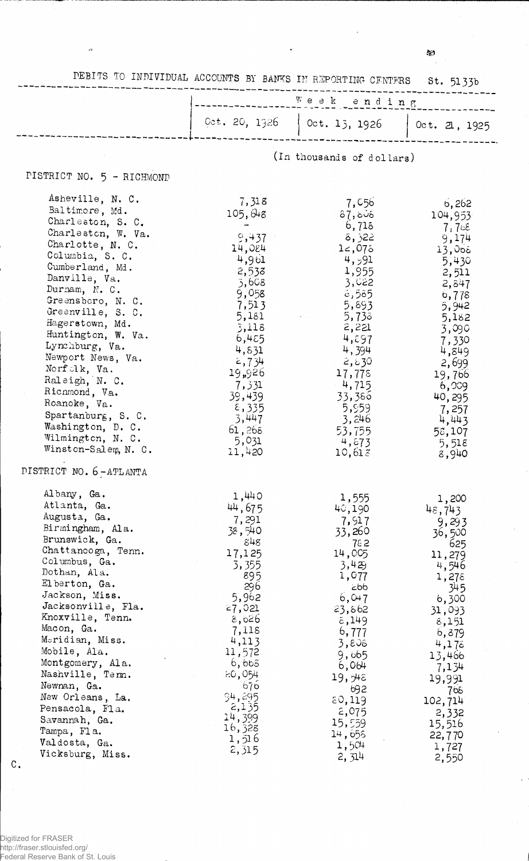$\mathbf{I}_{\mathbf{g},2}$ 

DEBITS TO INDIVIDUAL ACCOUNTS BY BANKS IN REPORTING CENTERS St. 5133b

|  |  | week ending                                   |  |
|--|--|-----------------------------------------------|--|
|  |  | Cet. 20, 1326   Oct. 13, 1926   Oct. 21, 1925 |  |
|  |  |                                               |  |

(In thousands of dollars)

## PISTRICT NO.  $5 - RICHMOND$

 $\mathcal{A}$ 

| Asheville, N. C.                  | 7,318            | 7,056    | 6,262                          |
|-----------------------------------|------------------|----------|--------------------------------|
| Baltimore, Md.                    | 105,048          | 87,606   | 104,953                        |
| Charleston, S. C.                 |                  | 6,715    |                                |
| Charleston, W. Va.                | 9,437            | 322, ة   | $7,7$ c $\varepsilon$<br>9,174 |
| Charlotte, N. C.                  | 14,084           | 12,075   | 13,005                         |
| Columbia, S. C.                   | 4,961            | 4,591    | 5,430                          |
| Cumberland, Md.                   | 2,538            | 1,955    | 2,511                          |
| Danville, Va.                     | 5,608            | 3,022    | 2,847                          |
| Durham, N. C.                     | 9,058            | 6,585    | 6,778                          |
| Greensboro, N. C.                 | 7,513            | 5,893    | 5,942                          |
| Greenville, S. C.                 | 5,181            | 5,733    | 5,182                          |
| Hagerstown, Md.                   | 3,118            | 2,221    | 3,090                          |
| Huntington, W. Va.                | 6,455            | 4,697    | 7,330                          |
| Lynchburg, Va.                    | 4,831            | 4,394    | 4,849                          |
| Newport News, Va.                 | 2,734            | 2,830    | 2,699                          |
| Norfolk, Va.                      | 19,926           | 17,778   | 19,766                         |
| Raleigh, N. C.                    | 7,331            | $-4,715$ | 6,009                          |
| Richmond, Va.                     | 39,439           | 33,386   | 40,295                         |
| Roanoke, Va.                      | $\epsilon$ , 335 | 5,959    | 7,257                          |
| Spartanburg, S. C.                | 3,447            | 3,246    | 4,443                          |
| Washington, D. C.                 | 61,268           | 53,755   | 58,107                         |
| Wilmington, N. C.                 | 5,031            | 4,673    | 5,518                          |
| Winston-Salem, N. C.              | 11,420           | 10,613   | 8,940                          |
| DISTRICT NO. 6-ATLANTA            |                  |          |                                |
| Albany, Ga.                       | 1,440            | 1,555    |                                |
| Atlanta, Ga.                      | 44,675           | 40,190   | 1,200<br>48,743                |
| Augusta, Ga.                      | 7,291            | 7,917    | 9,293                          |
| Birmingham, Ala.                  | 38,540           | 33,260   | 36,500                         |
| Brunswick, Ga.                    | 848              | 782      | 625                            |
| Chattanooga, Tenn.                | 17,125           | 14,005   | 11,279                         |
| Columbus, Ga.                     | 3,355            | 3,429    | 4,546                          |
| Dothan, Ala.                      | 895              | 1,077    | 1,275                          |
| Elberton, Ga.                     | 296              | cbb      | 345                            |
| Jackson, Miss.                    | 5,962            | 6,047    | 6,300                          |
| Jacksonville, Fla.                | 27,021           | 23,862   | 31,093                         |
| Knoxville, Tenn.                  | 8,626            | 8,149    | 8,151                          |
| Macon, Ga.                        | 7,118            | 6,777    | 6,879                          |
| Meridian, Miss.                   | 4,113            | 3,806    | 4,175                          |
| Mobile, Ala.                      | 11,572           | 9,665    | 13,466                         |
| Montgomery, Ala.                  | 6,665            | 6,064    | 7,134                          |
| Nashville, Tem.                   | 20,054           | 19,96    | 19,991                         |
| Newnan, Ga.                       | 676              | 692      | 768                            |
| New Orleans, La.                  | 94,295           | 50, 119  | 102,714                        |
| Pensacola, Fla.                   | 2,135<br>14,399  | 2,075    | 2,332                          |
| Savannah, Ga.                     | 16,328           | 15,559   | 15,516                         |
| Tampa, Fla.                       | 1,516            | 14,658   | 22,770                         |
| Valdosta, Ga.                     | 2,315            | 1,504    | 1,727                          |
| Vicksburg, Miss.<br>$c_{\bullet}$ |                  | 2,314    | 2,550                          |
|                                   |                  |          |                                |

 $\bar{\gamma}$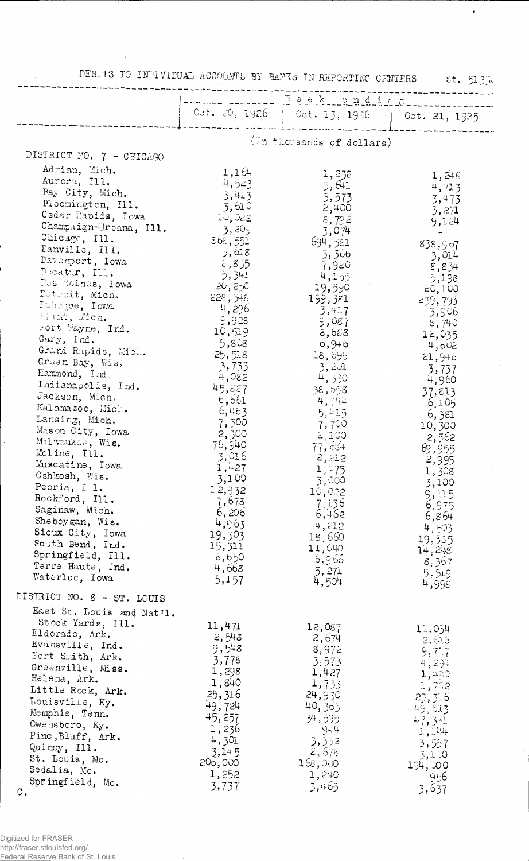|                                              |                                                       | DEBITS TO INDIVIDUAL ACCOUNTS BY BANKS IN REPORTING CFNTERS St. 51334 |                                                                                             |
|----------------------------------------------|-------------------------------------------------------|-----------------------------------------------------------------------|---------------------------------------------------------------------------------------------|
|                                              | -----------                                           |                                                                       |                                                                                             |
|                                              | <b>Lunu un cucun c</b> ucun ann an diamagnach ann nan | Obt. 20, 1926   Oct. 13, 1926   Oct. 21, 1925                         |                                                                                             |
|                                              |                                                       | (In thousands of dollars)                                             |                                                                                             |
| DISTRICT NO. 7 - CHICAGO                     |                                                       |                                                                       |                                                                                             |
| Adrian, Mich.                                | 1,164                                                 | 1,238                                                                 |                                                                                             |
| Aurora, Ill.                                 | 4,523                                                 | 3,641                                                                 | 1,248<br>4, 72.3                                                                            |
| Bay City, Mich.                              | 3,413                                                 | 3,573                                                                 | 3,473                                                                                       |
| Bloomington, Ill.                            | $-3,610$                                              | 2,400                                                                 | 3,271                                                                                       |
| Cedar Rapids, Iowa<br>Champaign-Urbana, Ill. | 10,022                                                | 8,792                                                                 | 9,124                                                                                       |
| Chicago, Ill.                                | 3,205<br>868,551                                      | 3,074                                                                 | $\mathcal{F}^{\mathcal{G}}_{\mathcal{G}}$ , where $\mathcal{G}^{\mathcal{G}}_{\mathcal{G}}$ |
| Danville, Ill.                               | 5,618                                                 | 694,551<br>3, 366                                                     | 838,967                                                                                     |
| Davenport, Iowa                              | $\epsilon$ ,8)5                                       | 7,9 <sup>°</sup>                                                      | - 3,014<br>8,834                                                                            |
| Decatur, Ill.                                | 5,341                                                 | 4,155                                                                 | 5,198                                                                                       |
| Des Moines, Iowa                             | 20,250                                                | 19,590                                                                | 20,100                                                                                      |
| Petroit, Mich.<br>Pubugue, Iowa              | 228,548                                               | 199,381                                                               | $-39,793$                                                                                   |
| El mi, Mich.                                 | - 4, 296<br>9,928                                     | 3,417                                                                 | - 3,906                                                                                     |
| Fort Wayne, Ind.                             | 10,519                                                | 9,087<br>8,688                                                        | 8,740                                                                                       |
| $\text{Gary, Ind.}$                          | 5,808                                                 | 6,946                                                                 | 12,035<br>4,602                                                                             |
| Grand Rapids, Mich.                          | 25,518                                                | 18,699                                                                | 21,946                                                                                      |
| Green Bay, Wis.<br>Hammond, Ind.             | 3,733                                                 | 3,201                                                                 | 3,737                                                                                       |
| Indianapolis, Ind.                           | 930, با                                               | 4,330                                                                 | 4,960                                                                                       |
| Jackson, Mich.                               | 45,887<br>6,661                                       | 38,553                                                                | 37,813                                                                                      |
| Kalamazoo, Mich.                             | 6,463                                                 | 4,744<br>5,415                                                        | 6,105                                                                                       |
| Lansing, Mich.                               | 7,500                                                 | 7,700                                                                 | 81 ,6<br>10,300                                                                             |
| Mason City, Iowa                             | 2,300                                                 | 2100                                                                  | - 2,562                                                                                     |
| Milwaukee, Wis.<br>Moline, Ill.              | 76,940                                                | 77,634                                                                | 69,955                                                                                      |
| Muscatine, Iowa                              | 3,016                                                 | 2,22                                                                  | 2,995                                                                                       |
| Oshkosh, Wis.                                | 1,427<br>3,100                                        | 1,475                                                                 | 1,308                                                                                       |
| Peoria, $I(1.$                               | 12,932                                                | 3,000<br>10,022                                                       | 3,100                                                                                       |
| Rockford, Ill.                               | 7,678                                                 | 7,136                                                                 | 9.15<br>6,975                                                                               |
| Saginaw, Mich.                               | 6,206                                                 | 6,462                                                                 | 6,864                                                                                       |
| Sheboygan, Wis.<br>Sioux City, Iowa          | 4,963                                                 | 4,212                                                                 | 4,503                                                                                       |
| South Bend, Ind.                             | 19,303                                                | 18,660                                                                | 19,335                                                                                      |
| Springfield, Ill.                            | 15,311<br>8,650                                       | 11,040                                                                | 14,248                                                                                      |
| Terre Haute, Ind.                            | 4,668                                                 | 6,966<br>5,271                                                        | 8,367<br>5,5.9                                                                              |
| Waterloc, Iowa                               | 5,157                                                 | 4,504                                                                 | 4,998                                                                                       |
| DISTRICT NO. 8 - ST. LOUIS                   |                                                       |                                                                       |                                                                                             |
| East St. Louis and Nat'l.                    |                                                       |                                                                       |                                                                                             |
| Stock Yards, Ill.                            | 11,471                                                | 12,087                                                                | 11.034                                                                                      |
| Eldorado, Ark.                               | 2,543                                                 | 2, c74                                                                | 2,616                                                                                       |
| Evansville, Ind.<br>Fort Smith, Ark.         | 9,548                                                 | 8,972                                                                 | 9,717                                                                                       |
| Greenville, Miss.                            | 3,778                                                 | 3.573                                                                 | 4,294                                                                                       |
| Helena, Ark.                                 | 1,298<br>1,840                                        | 1,427                                                                 | 1,490                                                                                       |
| Little Rock, Ark.                            | 25,316                                                | 1,733<br>24,930                                                       | 2,752                                                                                       |
| Louisville, Ky.                              | 49,724                                                | 40,363                                                                | 23, 3.6<br>49,613                                                                           |
| Memphis, Tenn.                               | 45,257                                                | 34,595                                                                | 47,331                                                                                      |
| Owensboro, Ky.<br>Pine, Bluff, Ark.          | 1,236                                                 | ेटन                                                                   | 1, 14                                                                                       |
| Quincy, Ill.                                 | 4,301                                                 | 3,332                                                                 | 3,557                                                                                       |
| St. Louis, Mo.                               | 3,145<br>206,000                                      | 2,678                                                                 | 3,110                                                                                       |
| Sedalia, Mo.                                 | 1,252                                                 | 168,000<br>1,240                                                      | 194,000                                                                                     |
| Springfield, Mo.                             | 3,737                                                 | 3,465                                                                 | 956<br>3,637                                                                                |
| $\mathbb{C}$ .                               |                                                       |                                                                       |                                                                                             |

 $\mathcal{A}^{\pm}$ 

 $\mathcal{A}$ 

 $\bullet$ 

 $\bar{\mathcal{A}}$ 

Digitized for FRASER<br>http://fraser.stlouisfed.org/<br>Federal Reserve Bank of St. Louis

Ŷ,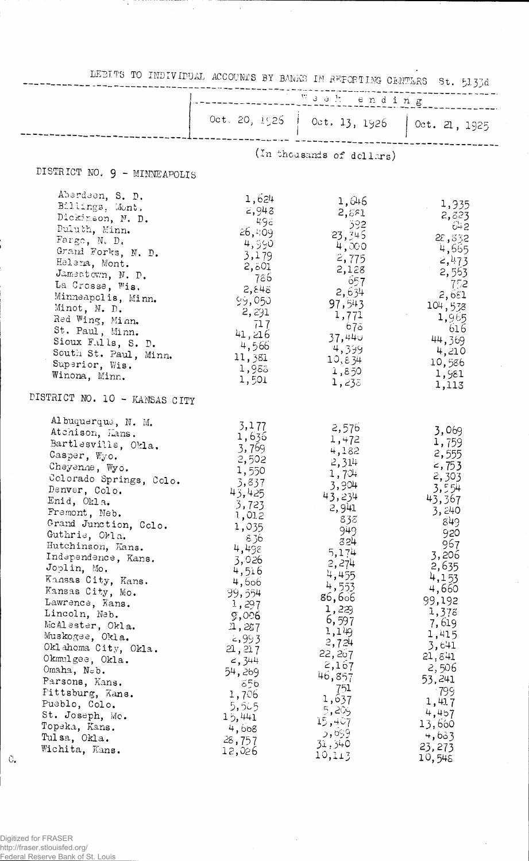| DEBITS TO INDIVIDUAL ACCOUNTS BY BANKS IN REPORTING CENTLES St. 5133d                                                                                                                                                                                                                                                                                                                                                                                                                                                                                                       |                                                                                                                                                                                                                                                                        |                                                                                                                                                                                                                                                                |                                                                                                                                                                                                                                                               |
|-----------------------------------------------------------------------------------------------------------------------------------------------------------------------------------------------------------------------------------------------------------------------------------------------------------------------------------------------------------------------------------------------------------------------------------------------------------------------------------------------------------------------------------------------------------------------------|------------------------------------------------------------------------------------------------------------------------------------------------------------------------------------------------------------------------------------------------------------------------|----------------------------------------------------------------------------------------------------------------------------------------------------------------------------------------------------------------------------------------------------------------|---------------------------------------------------------------------------------------------------------------------------------------------------------------------------------------------------------------------------------------------------------------|
|                                                                                                                                                                                                                                                                                                                                                                                                                                                                                                                                                                             |                                                                                                                                                                                                                                                                        |                                                                                                                                                                                                                                                                |                                                                                                                                                                                                                                                               |
|                                                                                                                                                                                                                                                                                                                                                                                                                                                                                                                                                                             |                                                                                                                                                                                                                                                                        | Oct. 20, 1526   Oct. 13, 1926   Oct. 21, 1925                                                                                                                                                                                                                  |                                                                                                                                                                                                                                                               |
|                                                                                                                                                                                                                                                                                                                                                                                                                                                                                                                                                                             |                                                                                                                                                                                                                                                                        | (In thousands of dellars)                                                                                                                                                                                                                                      |                                                                                                                                                                                                                                                               |
| DISTRICT NO. 9 - MINNEAPOLIS                                                                                                                                                                                                                                                                                                                                                                                                                                                                                                                                                |                                                                                                                                                                                                                                                                        |                                                                                                                                                                                                                                                                |                                                                                                                                                                                                                                                               |
| Aberdeen, S. D.<br>Billings, Mont.<br>Dickinson, N. D.<br>Duluth, Minn.<br>Fargo, N. D.<br>Grand Forks, N. D.<br>Helena, Mont.<br>Jamestown, N. D.<br>La Crosse, Wis.<br>Minneapolis, Minn.<br>Minot, N. D.<br>Red Wing, Minn.<br>St. Paul, Minn.<br>Sioux Falls, S. D.<br>South St. Paul, Minn.<br>Superior, Wis.<br>Winona, Minn.                                                                                                                                                                                                                                         | 1,624<br>2,948<br>- 498<br>26,409<br>4,990<br>3,179<br>2,501<br>- 786<br>2,848<br>99,050<br>2, 291<br>717<br>41,216<br>4,566<br>11,381<br>1,983<br>1,501                                                                                                               | 1,646<br>2,881<br>-392<br>23,345<br>4,000<br>2,775<br>2,128<br>$-657$<br>2,634<br>97,543<br>1,771<br>678  <br>37,440<br>4,399<br>10,834<br>1,850<br>1,238                                                                                                      | 1,935<br>2,823<br>- 642<br>28,832<br>4,665<br>2,473<br>2,553<br>752<br>2,651<br>104,538<br>1,965<br>- 616<br>44,369<br>4,210<br>10,586<br>1,981                                                                                                               |
| DISTRICT NO. 10 - KANSAS CITY                                                                                                                                                                                                                                                                                                                                                                                                                                                                                                                                               |                                                                                                                                                                                                                                                                        |                                                                                                                                                                                                                                                                | 1,113                                                                                                                                                                                                                                                         |
| Al buquerque, N. M.<br>Atenison, Lans.<br>Bartlesville, Okla.<br>Casper, Wyo.<br>Cheyenne, Wyo.<br>Colorado Springs, Colo.<br>Denver, Colo.<br>Enid, Okla.<br>Fremont, Neb.<br>Grand Junction, Colo.<br>Guthrie, Okla.<br>Hutchinson, Kans.<br>Independence, Kans.<br>Joplin, Mo.<br>Kansas City, Kans.<br>Kansas City, Mo.<br>Lawrence, Kans.<br>Lincoln, Neb.<br>McAlester, Okla.<br>Muskogee, Okla.<br>Oklahoma City, Okla.<br>Okmulgee, Okla.<br>Omaha, Neb.<br>Parsons, Kans.<br>Fittsburg, Kans.<br>Pueblo, Colo.<br>St. Joseph, Mo.<br>Topeka, Kans.<br>Tulsa, Okla. | 3,177<br>1,636<br>3,769<br>2,502<br>1,550<br>3,837<br>43,425<br>3,723<br>1,012<br>1,035<br>836<br>4,498<br>3,026<br>4,516<br>4,606<br>99,554<br>1,297<br>9,006<br>1,237<br>2,993<br>21, 217<br>4, 344<br>54,269<br>556<br>1,706<br>5,585<br>15,441<br>4,668<br>28, 757 | 2,576<br>1,472<br>4,182<br>2,314<br>1,70<br>3,904<br>43,234<br>2,941<br>838<br>949<br>824<br>5,174<br>2,274<br>4,455<br>4,553<br>86,606<br>1,22<br>6,597<br>1,149<br>2,724<br>22, 267<br>2,167<br>46,857<br>751<br>1,637<br>5,205<br>15,407<br>5,699<br>31,340 | 3,069<br>1,759<br>2,555<br>$\leq$ , 753<br>2,303<br>3,554<br>43,367<br>3,240<br>849<br>920<br>967<br>3,206<br>2,635<br>4,153<br>4,660<br>99,192<br>1,378<br>7,619<br>1,415<br>3,641<br>21,841<br>2,506<br>53,241<br>-799<br>1,417<br>4,457<br>13,660<br>4,633 |
| Wichita, Kans.<br>$C_{\bullet}$                                                                                                                                                                                                                                                                                                                                                                                                                                                                                                                                             | 12,026                                                                                                                                                                                                                                                                 | 10,113                                                                                                                                                                                                                                                         | 23, 273<br>10,545                                                                                                                                                                                                                                             |

 $\sim$ 

 $\hat{\boldsymbol{\gamma}}$ 

 $\epsilon$ 

 $\ddot{\phantom{a}}$ 

 $\cdot$ 

 $\cdot$ 

Digitized for FRASER<br>http://fraser.stlouisfed.org/<br>Federal Reserve Bank of St. Louis